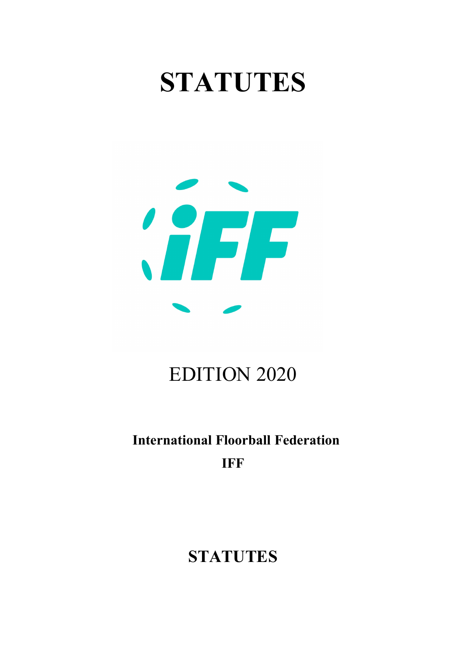# STATUTES



# EDITION 2020

# International Floorball Federation IFF

# **STATUTES**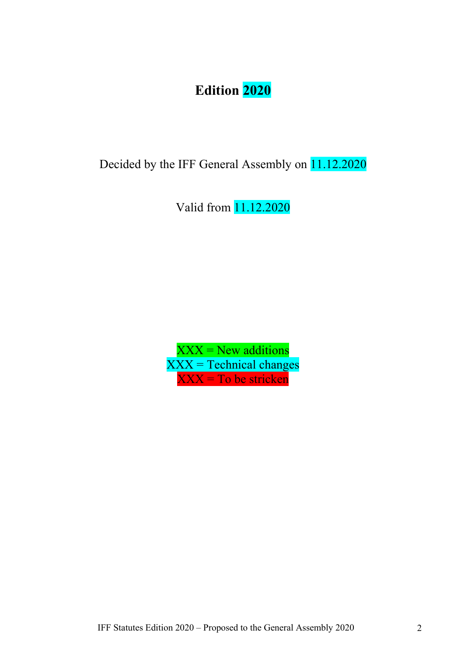# Edition 2020

Decided by the IFF General Assembly on 11.12.2020

Valid from 11.12.2020

 $XXX = New$  additions XXX = Technical changes XXX = To be stricken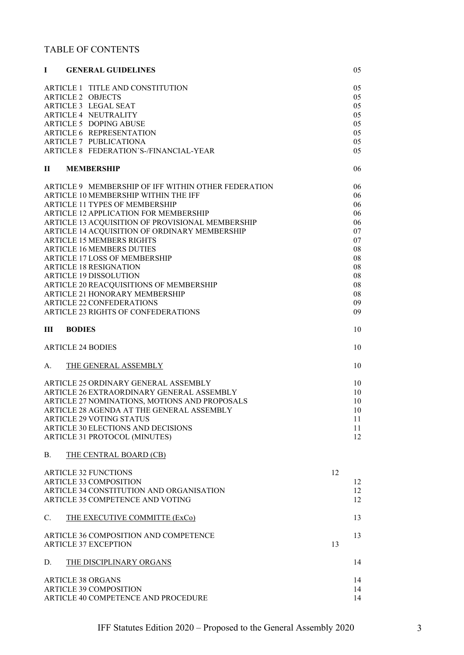#### TABLE OF CONTENTS

| L                                           | <b>GENERAL GUIDELINES</b>                           |    | 05 |  |
|---------------------------------------------|-----------------------------------------------------|----|----|--|
|                                             | ARTICLE 1 TITLE AND CONSTITUTION                    |    | 05 |  |
|                                             | <b>ARTICLE 2 OBJECTS</b>                            |    | 05 |  |
|                                             | <b>ARTICLE 3 LEGAL SEAT</b>                         |    | 05 |  |
|                                             | <b>ARTICLE 4 NEUTRALITY</b>                         |    | 05 |  |
|                                             | <b>ARTICLE 5 DOPING ABUSE</b>                       |    | 05 |  |
|                                             | ARTICLE 6 REPRESENTATION                            |    | 05 |  |
|                                             | <b>ARTICLE 7 PUBLICATIONA</b>                       |    | 05 |  |
|                                             | ARTICLE 8 FEDERATION'S-/FINANCIAL-YEAR              |    | 05 |  |
| П                                           | <b>MEMBERSHIP</b>                                   |    | 06 |  |
|                                             | ARTICLE 9 MEMBERSHIP OF IFF WITHIN OTHER FEDERATION |    | 06 |  |
|                                             | ARTICLE 10 MEMBERSHIP WITHIN THE IFF                |    | 06 |  |
|                                             | <b>ARTICLE 11 TYPES OF MEMBERSHIP</b>               |    | 06 |  |
|                                             | ARTICLE 12 APPLICATION FOR MEMBERSHIP               |    | 06 |  |
|                                             | ARTICLE 13 ACQUISITION OF PROVISIONAL MEMBERSHIP    |    | 06 |  |
|                                             | ARTICLE 14 ACQUISITION OF ORDINARY MEMBERSHIP       |    | 07 |  |
|                                             | <b>ARTICLE 15 MEMBERS RIGHTS</b>                    |    | 07 |  |
|                                             | <b>ARTICLE 16 MEMBERS DUTIES</b>                    |    | 08 |  |
|                                             | ARTICLE 17 LOSS OF MEMBERSHIP                       |    | 08 |  |
|                                             | <b>ARTICLE 18 RESIGNATION</b>                       |    | 08 |  |
|                                             | <b>ARTICLE 19 DISSOLUTION</b>                       |    | 08 |  |
|                                             | ARTICLE 20 REACQUISITIONS OF MEMBERSHIP             |    | 08 |  |
|                                             | ARTICLE 21 HONORARY MEMBERSHIP                      |    | 08 |  |
|                                             | <b>ARTICLE 22 CONFEDERATIONS</b>                    |    | 09 |  |
|                                             | ARTICLE 23 RIGHTS OF CONFEDERATIONS                 |    | 09 |  |
| Ш                                           | <b>BODIES</b>                                       |    | 10 |  |
|                                             | <b>ARTICLE 24 BODIES</b>                            |    | 10 |  |
| A.                                          | THE GENERAL ASSEMBLY                                |    | 10 |  |
|                                             | ARTICLE 25 ORDINARY GENERAL ASSEMBLY                |    | 10 |  |
|                                             | ARTICLE 26 EXTRAORDINARY GENERAL ASSEMBLY           |    | 10 |  |
|                                             | ARTICLE 27 NOMINATIONS, MOTIONS AND PROPOSALS       |    | 10 |  |
|                                             | ARTICLE 28 AGENDA AT THE GENERAL ASSEMBLY           |    | 10 |  |
|                                             | <b>ARTICLE 29 VOTING STATUS</b>                     |    | 11 |  |
|                                             | ARTICLE 30 ELECTIONS AND DECISIONS                  |    | 11 |  |
|                                             | ARTICLE 31 PROTOCOL (MINUTES)                       |    | 12 |  |
| <b>B.</b>                                   | THE CENTRAL BOARD (CB)                              |    |    |  |
|                                             | <b>ARTICLE 32 FUNCTIONS</b>                         | 12 |    |  |
|                                             | <b>ARTICLE 33 COMPOSITION</b>                       |    | 12 |  |
|                                             | ARTICLE 34 CONSTITUTION AND ORGANISATION            |    | 12 |  |
|                                             | ARTICLE 35 COMPETENCE AND VOTING                    |    | 12 |  |
| $C_{\cdot}$                                 | THE EXECUTIVE COMMITTE (ExCo)                       |    | 13 |  |
| ARTICLE 36 COMPOSITION AND COMPETENCE<br>13 |                                                     |    |    |  |
| <b>ARTICLE 37 EXCEPTION</b><br>13           |                                                     |    |    |  |
| D.                                          | THE DISCIPLINARY ORGANS                             |    | 14 |  |
|                                             | <b>ARTICLE 38 ORGANS</b>                            |    | 14 |  |
|                                             | <b>ARTICLE 39 COMPOSITION</b>                       |    | 14 |  |
|                                             | ARTICLE 40 COMPETENCE AND PROCEDURE                 |    | 14 |  |
|                                             |                                                     |    |    |  |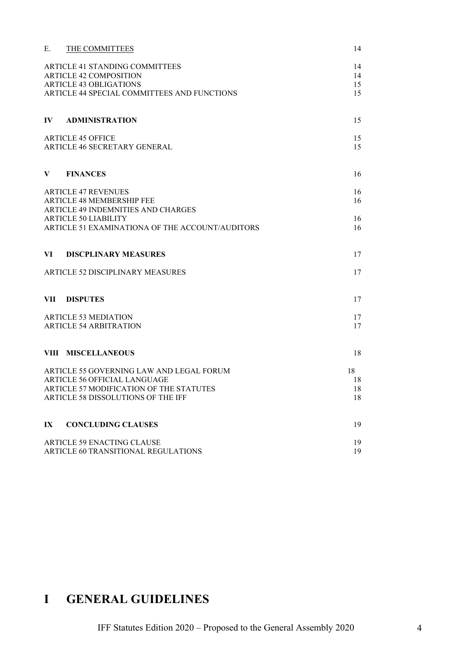| Ε.                            | THE COMMITTEES                                  | 14 |
|-------------------------------|-------------------------------------------------|----|
|                               | ARTICLE 41 STANDING COMMITTEES                  | 14 |
| <b>ARTICLE 42 COMPOSITION</b> | 14                                              |    |
|                               | <b>ARTICLE 43 OBLIGATIONS</b>                   | 15 |
|                               | ARTICLE 44 SPECIAL COMMITTEES AND FUNCTIONS     | 15 |
| $\mathbf{I} \mathbf{V}$       | <b>ADMINISTRATION</b>                           | 15 |
| <b>ARTICLE 45 OFFICE</b>      |                                                 | 15 |
|                               | ARTICLE 46 SECRETARY GENERAL                    | 15 |
| $\mathbf{V}$                  | <b>FINANCES</b>                                 | 16 |
|                               | <b>ARTICLE 47 REVENUES</b>                      | 16 |
|                               | ARTICLE 48 MEMBERSHIP FEE                       | 16 |
|                               | ARTICLE 49 INDEMNITIES AND CHARGES              |    |
|                               | <b>ARTICLE 50 LIABILITY</b>                     | 16 |
|                               | ARTICLE 51 EXAMINATIONA OF THE ACCOUNT/AUDITORS | 16 |
| VI.                           | <b>DISCPLINARY MEASURES</b>                     | 17 |
|                               | ARTICLE 52 DISCIPLINARY MEASURES                | 17 |
|                               | VII DISPUTES                                    | 17 |
|                               | <b>ARTICLE 53 MEDIATION</b>                     | 17 |
|                               | <b>ARTICLE 54 ARBITRATION</b>                   | 17 |
|                               | VIII MISCELLANEOUS                              | 18 |
|                               | ARTICLE 55 GOVERNING LAW AND LEGAL FORUM        | 18 |
| ARTICLE 56 OFFICIAL LANGUAGE  | 18                                              |    |
|                               | ARTICLE 57 MODIFICATION OF THE STATUTES         | 18 |
|                               | ARTICLE 58 DISSOLUTIONS OF THE IFF              | 18 |
| $\mathbf{I} \mathbf{X}$       | <b>CONCLUDING CLAUSES</b>                       | 19 |
|                               | <b>ARTICLE 59 ENACTING CLAUSE</b>               | 19 |
|                               | ARTICLE 60 TRANSITIONAL REGULATIONS             | 19 |
|                               |                                                 |    |

# I GENERAL GUIDELINES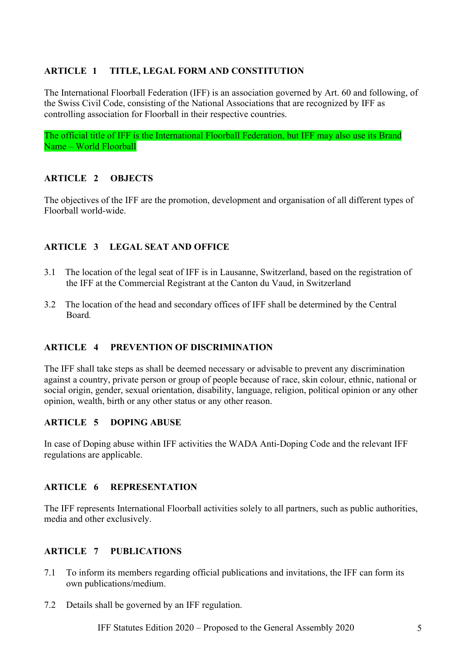#### ARTICLE 1 TITLE, LEGAL FORM AND CONSTITUTION

The International Floorball Federation (IFF) is an association governed by Art. 60 and following, of the Swiss Civil Code, consisting of the National Associations that are recognized by IFF as controlling association for Floorball in their respective countries.

The official title of IFF is the International Floorball Federation, but IFF may also use its Brand Name – World Floorball

#### ARTICLE 2 OBJECTS

The objectives of the IFF are the promotion, development and organisation of all different types of Floorball world-wide.

#### ARTICLE 3 LEGAL SEAT AND OFFICE

- 3.1 The location of the legal seat of IFF is in Lausanne, Switzerland, based on the registration of the IFF at the Commercial Registrant at the Canton du Vaud, in Switzerland
- 3.2 The location of the head and secondary offices of IFF shall be determined by the Central Board.

#### ARTICLE 4 PREVENTION OF DISCRIMINATION

The IFF shall take steps as shall be deemed necessary or advisable to prevent any discrimination against a country, private person or group of people because of race, skin colour, ethnic, national or social origin, gender, sexual orientation, disability, language, religion, political opinion or any other opinion, wealth, birth or any other status or any other reason.

#### ARTICLE 5 DOPING ABUSE

In case of Doping abuse within IFF activities the WADA Anti-Doping Code and the relevant IFF regulations are applicable.

#### ARTICLE 6 REPRESENTATION

The IFF represents International Floorball activities solely to all partners, such as public authorities, media and other exclusively.

#### ARTICLE 7 PUBLICATIONS

- 7.1 To inform its members regarding official publications and invitations, the IFF can form its own publications/medium.
- 7.2 Details shall be governed by an IFF regulation.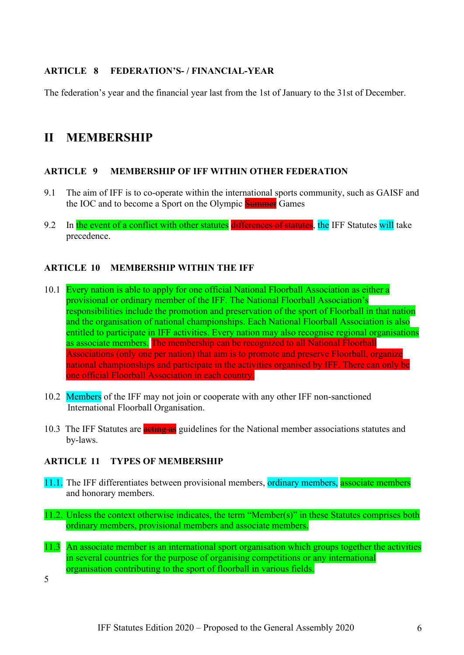#### ARTICLE 8 FEDERATION'S- / FINANCIAL-YEAR

The federation's year and the financial year last from the 1st of January to the 31st of December.

### II MEMBERSHIP

#### ARTICLE 9 MEMBERSHIP OF IFF WITHIN OTHER FEDERATION

- 9.1 The aim of IFF is to co-operate within the international sports community, such as GAISF and the IOC and to become a Sport on the Olympic **Summer** Games
- 9.2 In the event of a conflict with other statutes differences of statutes, the IFF Statutes will take precedence.

#### ARTICLE 10 MEMBERSHIP WITHIN THE IFF

- 10.1 Every nation is able to apply for one official National Floorball Association as either a provisional or ordinary member of the IFF. The National Floorball Association's responsibilities include the promotion and preservation of the sport of Floorball in that nation and the organisation of national championships. Each National Floorball Association is also entitled to participate in IFF activities. Every nation may also recognise regional organisations as associate members. The membership can be recognized to all National Floorball Associations (only one per nation) that aim is to promote and preserve Floorball, organize national championships and participate in the activities organised by IFF. There can only be one official Floorball Association in each country.
- 10.2 Members of the IFF may not join or cooperate with any other IFF non-sanctioned International Floorball Organisation.
- 10.3 The IFF Statutes are **acting as** guidelines for the National member associations statutes and by-laws.

#### ARTICLE 11 TYPES OF MEMBERSHIP

- 11.1. The IFF differentiates between provisional members, ordinary members, associate members and honorary members.
- 11.2. Unless the context otherwise indicates, the term "Member(s)" in these Statutes comprises both ordinary members, provisional members and associate members.
- 11.3 An associate member is an international sport organisation which groups together the activities in several countries for the purpose of organising competitions or any international organisation contributing to the sport of floorball in various fields.

5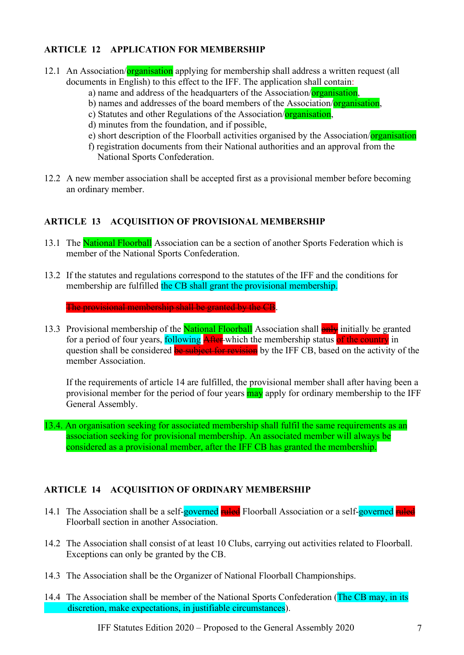#### ARTICLE 12 APPLICATION FOR MEMBERSHIP

- 12.1 An Association/**organisation** applying for membership shall address a written request (all documents in English) to this effect to the IFF. The application shall contain:
	- a) name and address of the headquarters of the Association/organisation,
	- b) names and addresses of the board members of the Association/organisation,
	- c) Statutes and other Regulations of the Association/organisation,
	- d) minutes from the foundation, and if possible,
	- e) short description of the Floorball activities organised by the Association/organisation
	- f) registration documents from their National authorities and an approval from the National Sports Confederation.
- 12.2 A new member association shall be accepted first as a provisional member before becoming an ordinary member.

#### ARTICLE 13 ACQUISITION OF PROVISIONAL MEMBERSHIP

- 13.1 The National Floorball Association can be a section of another Sports Federation which is member of the National Sports Confederation.
- 13.2 If the statutes and regulations correspond to the statutes of the IFF and the conditions for membership are fulfilled the CB shall grant the provisional membership.

The provisional membership shall be granted by the CB.

13.3 Provisional membership of the National Floorball Association shall **only** initially be granted for a period of four years, following After which the membership status of the country in question shall be considered **be subject for revision** by the IFF CB, based on the activity of the member Association.

If the requirements of article 14 are fulfilled, the provisional member shall after having been a provisional member for the period of four years may apply for ordinary membership to the IFF General Assembly.

13.4. An organisation seeking for associated membership shall fulfil the same requirements as an association seeking for provisional membership. An associated member will always be considered as a provisional member, after the IFF CB has granted the membership.

#### ARTICLE 14 ACQUISITION OF ORDINARY MEMBERSHIP

- 14.1 The Association shall be a self-governed ruled Floorball Association or a self-governed ruled Floorball section in another Association.
- 14.2 The Association shall consist of at least 10 Clubs, carrying out activities related to Floorball. Exceptions can only be granted by the CB.
- 14.3 The Association shall be the Organizer of National Floorball Championships.
- 14.4 The Association shall be member of the National Sports Confederation (The CB may, in its discretion, make expectations, in justifiable circumstances).

IFF Statutes Edition 2020 – Proposed to the General Assembly 2020 7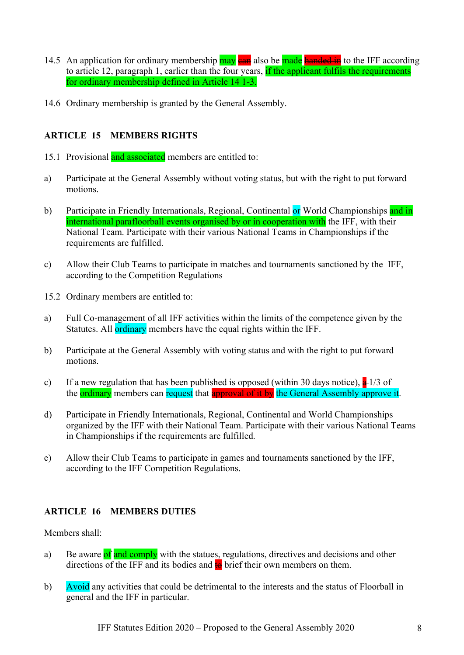- 14.5 An application for ordinary membership may ean also be made handed in to the IFF according to article 12, paragraph 1, earlier than the four years, if the applicant fulfils the requirements for ordinary membership defined in Article 14 1-3.
- 14.6 Ordinary membership is granted by the General Assembly.

#### ARTICLE 15 MEMBERS RIGHTS

- 15.1 Provisional and associated members are entitled to:
- a) Participate at the General Assembly without voting status, but with the right to put forward motions.
- b) Participate in Friendly Internationals, Regional, Continental or World Championships and in international parafloorball events organised by or in cooperation with the IFF, with their National Team. Participate with their various National Teams in Championships if the requirements are fulfilled.
- c) Allow their Club Teams to participate in matches and tournaments sanctioned by the IFF, according to the Competition Regulations
- 15.2 Ordinary members are entitled to:
- a) Full Co-management of all IFF activities within the limits of the competence given by the Statutes. All **ordinary** members have the equal rights within the IFF.
- b) Participate at the General Assembly with voting status and with the right to put forward motions.
- c) If a new regulation that has been published is opposed (within 30 days notice),  $a + 1/3$  of the **ordinary** members can request that **approval of it by** the General Assembly approve it.
- d) Participate in Friendly Internationals, Regional, Continental and World Championships organized by the IFF with their National Team. Participate with their various National Teams in Championships if the requirements are fulfilled.
- e) Allow their Club Teams to participate in games and tournaments sanctioned by the IFF, according to the IFF Competition Regulations.

#### ARTICLE 16 MEMBERS DUTIES

#### Members shall:

- a) Be aware of and comply with the statues, regulations, directives and decisions and other directions of the IFF and its bodies and  $\frac{1}{10}$  brief their own members on them.
- b) Avoid any activities that could be detrimental to the interests and the status of Floorball in general and the IFF in particular.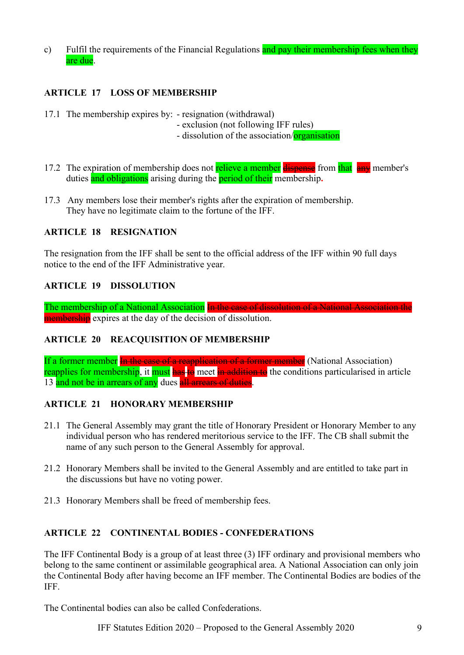c) Fulfil the requirements of the Financial Regulations and pay their membership fees when they are due.

#### ARTICLE 17 LOSS OF MEMBERSHIP

- 17.1 The membership expires by: resignation (withdrawal)
	- exclusion (not following IFF rules)
	- dissolution of the association/**organisation**
- 17.2 The expiration of membership does not relieve a member dispense from that any member's duties and obligations arising during the **period of their** membership.
- 17.3 Any members lose their member's rights after the expiration of membership. They have no legitimate claim to the fortune of the IFF.

#### ARTICLE 18 RESIGNATION

The resignation from the IFF shall be sent to the official address of the IFF within 90 full days notice to the end of the IFF Administrative year.

#### ARTICLE 19 DISSOLUTION

The membership of a National Association In the case of dissolution of a National Association the **membership** expires at the day of the decision of dissolution.

#### ARTICLE 20 REACQUISITION OF MEMBERSHIP

If a former member In the case of a reapplication of a former member (National Association) reapplies for membership, it must has to meet in addition to the conditions particularised in article 13 and not be in arrears of any dues all arrears of duties.

#### ARTICLE 21 HONORARY MEMBERSHIP

- 21.1 The General Assembly may grant the title of Honorary President or Honorary Member to any individual person who has rendered meritorious service to the IFF. The CB shall submit the name of any such person to the General Assembly for approval.
- 21.2 Honorary Members shall be invited to the General Assembly and are entitled to take part in the discussions but have no voting power.
- 21.3 Honorary Members shall be freed of membership fees.

#### ARTICLE 22 CONTINENTAL BODIES - CONFEDERATIONS

The IFF Continental Body is a group of at least three (3) IFF ordinary and provisional members who belong to the same continent or assimilable geographical area. A National Association can only join the Continental Body after having become an IFF member. The Continental Bodies are bodies of the IFF.

The Continental bodies can also be called Confederations.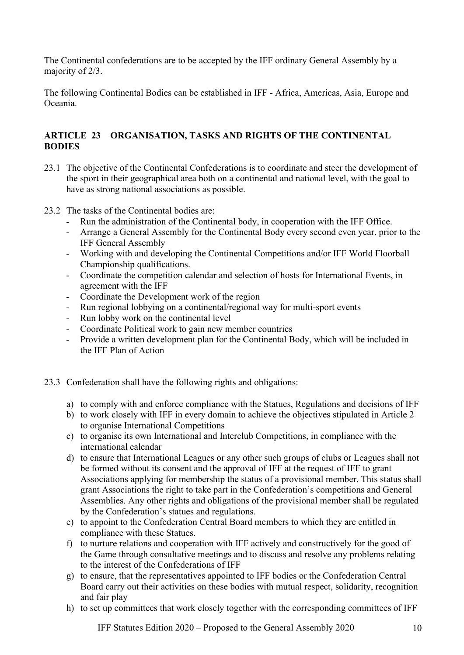The Continental confederations are to be accepted by the IFF ordinary General Assembly by a majority of 2/3.

The following Continental Bodies can be established in IFF - Africa, Americas, Asia, Europe and Oceania.

#### ARTICLE 23 ORGANISATION, TASKS AND RIGHTS OF THE CONTINENTAL BODIES

- 23.1 The objective of the Continental Confederations is to coordinate and steer the development of the sport in their geographical area both on a continental and national level, with the goal to have as strong national associations as possible.
- 23.2 The tasks of the Continental bodies are:
	- Run the administration of the Continental body, in cooperation with the IFF Office.
	- Arrange a General Assembly for the Continental Body every second even year, prior to the IFF General Assembly
	- Working with and developing the Continental Competitions and/or IFF World Floorball Championship qualifications.
	- Coordinate the competition calendar and selection of hosts for International Events, in agreement with the IFF
	- Coordinate the Development work of the region
	- Run regional lobbying on a continental/regional way for multi-sport events
	- Run lobby work on the continental level
	- Coordinate Political work to gain new member countries
	- Provide a written development plan for the Continental Body, which will be included in the IFF Plan of Action
- 23.3 Confederation shall have the following rights and obligations:
	- a) to comply with and enforce compliance with the Statues, Regulations and decisions of IFF
	- b) to work closely with IFF in every domain to achieve the objectives stipulated in Article 2 to organise International Competitions
	- c) to organise its own International and Interclub Competitions, in compliance with the international calendar
	- d) to ensure that International Leagues or any other such groups of clubs or Leagues shall not be formed without its consent and the approval of IFF at the request of IFF to grant Associations applying for membership the status of a provisional member. This status shall grant Associations the right to take part in the Confederation's competitions and General Assemblies. Any other rights and obligations of the provisional member shall be regulated by the Confederation's statues and regulations.
	- e) to appoint to the Confederation Central Board members to which they are entitled in compliance with these Statues.
	- f) to nurture relations and cooperation with IFF actively and constructively for the good of the Game through consultative meetings and to discuss and resolve any problems relating to the interest of the Confederations of IFF
	- g) to ensure, that the representatives appointed to IFF bodies or the Confederation Central Board carry out their activities on these bodies with mutual respect, solidarity, recognition and fair play
	- h) to set up committees that work closely together with the corresponding committees of IFF

IFF Statutes Edition 2020 – Proposed to the General Assembly 2020 10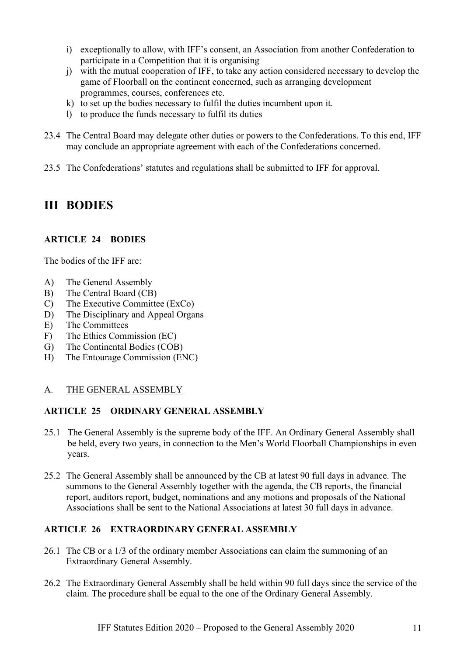- i) exceptionally to allow, with IFF's consent, an Association from another Confederation to participate in a Competition that it is organising
- j) with the mutual cooperation of IFF, to take any action considered necessary to develop the game of Floorball on the continent concerned, such as arranging development programmes, courses, conferences etc.
- k) to set up the bodies necessary to fulfil the duties incumbent upon it.
- l) to produce the funds necessary to fulfil its duties
- 23.4 The Central Board may delegate other duties or powers to the Confederations. To this end, IFF may conclude an appropriate agreement with each of the Confederations concerned.
- 23.5 The Confederations' statutes and regulations shall be submitted to IFF for approval.

# III BODIES

#### ARTICLE 24 BODIES

The bodies of the IFF are:

- A) The General Assembly
- B) The Central Board (CB)
- C) The Executive Committee (ExCo)
- D) The Disciplinary and Appeal Organs
- E) The Committees
- F) The Ethics Commission (EC)
- G) The Continental Bodies (COB)
- H) The Entourage Commission (ENC)

#### A. THE GENERAL ASSEMBLY

#### ARTICLE 25 ORDINARY GENERAL ASSEMBLY

- 25.1 The General Assembly is the supreme body of the IFF. An Ordinary General Assembly shall be held, every two years, in connection to the Men's World Floorball Championships in even years.
- 25.2 The General Assembly shall be announced by the CB at latest 90 full days in advance. The summons to the General Assembly together with the agenda, the CB reports, the financial report, auditors report, budget, nominations and any motions and proposals of the National Associations shall be sent to the National Associations at latest 30 full days in advance.

#### ARTICLE 26 EXTRAORDINARY GENERAL ASSEMBLY

- 26.1 The CB or a 1/3 of the ordinary member Associations can claim the summoning of an Extraordinary General Assembly.
- 26.2 The Extraordinary General Assembly shall be held within 90 full days since the service of the claim. The procedure shall be equal to the one of the Ordinary General Assembly.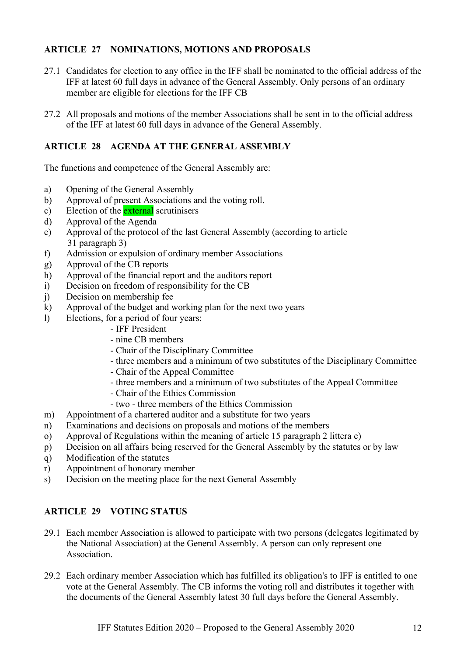#### ARTICLE 27 NOMINATIONS, MOTIONS AND PROPOSALS

- 27.1 Candidates for election to any office in the IFF shall be nominated to the official address of the IFF at latest 60 full days in advance of the General Assembly. Only persons of an ordinary member are eligible for elections for the IFF CB
- 27.2 All proposals and motions of the member Associations shall be sent in to the official address of the IFF at latest 60 full days in advance of the General Assembly.

#### ARTICLE 28 AGENDA AT THE GENERAL ASSEMBLY

The functions and competence of the General Assembly are:

- a) Opening of the General Assembly
- b) Approval of present Associations and the voting roll.
- c) Election of the **external** scrutinisers
- d) Approval of the Agenda
- e) Approval of the protocol of the last General Assembly (according to article 31 paragraph 3)
- f) Admission or expulsion of ordinary member Associations
- g) Approval of the CB reports
- h) Approval of the financial report and the auditors report
- i) Decision on freedom of responsibility for the CB
- j) Decision on membership fee
- k) Approval of the budget and working plan for the next two years
- l) Elections, for a period of four years:
	- IFF President
	- nine CB members
	- Chair of the Disciplinary Committee
	- three members and a minimum of two substitutes of the Disciplinary Committee
	- Chair of the Appeal Committee
	- three members and a minimum of two substitutes of the Appeal Committee
	- Chair of the Ethics Commission
	- two three members of the Ethics Commission
- m) Appointment of a chartered auditor and a substitute for two years
- n) Examinations and decisions on proposals and motions of the members
- o) Approval of Regulations within the meaning of article 15 paragraph 2 littera c)
- p) Decision on all affairs being reserved for the General Assembly by the statutes or by law
- q) Modification of the statutes
- r) Appointment of honorary member
- s) Decision on the meeting place for the next General Assembly

#### ARTICLE 29 VOTING STATUS

- 29.1 Each member Association is allowed to participate with two persons (delegates legitimated by the National Association) at the General Assembly. A person can only represent one Association.
- 29.2 Each ordinary member Association which has fulfilled its obligation's to IFF is entitled to one vote at the General Assembly. The CB informs the voting roll and distributes it together with the documents of the General Assembly latest 30 full days before the General Assembly.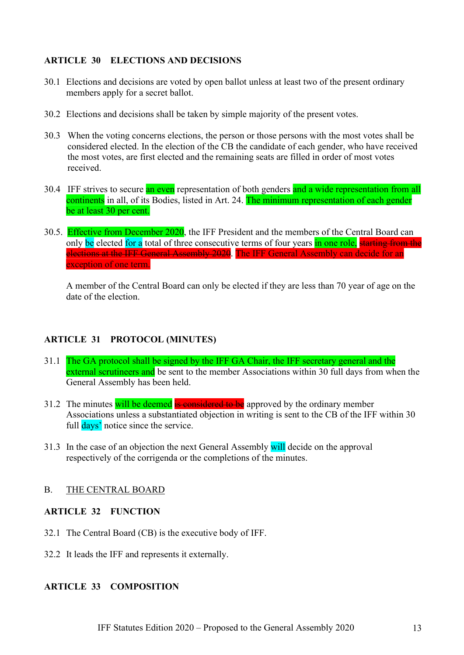#### ARTICLE 30 ELECTIONS AND DECISIONS

- 30.1 Elections and decisions are voted by open ballot unless at least two of the present ordinary members apply for a secret ballot.
- 30.2 Elections and decisions shall be taken by simple majority of the present votes.
- 30.3 When the voting concerns elections, the person or those persons with the most votes shall be considered elected. In the election of the CB the candidate of each gender, who have received the most votes, are first elected and the remaining seats are filled in order of most votes received.
- 30.4 IFF strives to secure an even representation of both genders and a wide representation from all continents in all, of its Bodies, listed in Art. 24. The minimum representation of each gender be at least 30 per cent.
- 30.5. Effective from December 2020, the IFF President and the members of the Central Board can only be elected for a total of three consecutive terms of four years in one role, starting from the elections at the IFF General Assembly 2020. The IFF General Assembly can decide for an exception of one term.

A member of the Central Board can only be elected if they are less than 70 year of age on the date of the election.

#### ARTICLE 31 PROTOCOL (MINUTES)

- 31.1 The GA protocol shall be signed by the IFF GA Chair, the IFF secretary general and the external scrutineers and be sent to the member Associations within 30 full days from when the General Assembly has been held.
- 31.2 The minutes will be deemed is considered to be approved by the ordinary member Associations unless a substantiated objection in writing is sent to the CB of the IFF within 30 full days' notice since the service.
- 31.3 In the case of an objection the next General Assembly will decide on the approval respectively of the corrigenda or the completions of the minutes.

#### B. THE CENTRAL BOARD

#### ARTICLE 32 FUNCTION

- 32.1 The Central Board (CB) is the executive body of IFF.
- 32.2 It leads the IFF and represents it externally.

#### ARTICLE 33 COMPOSITION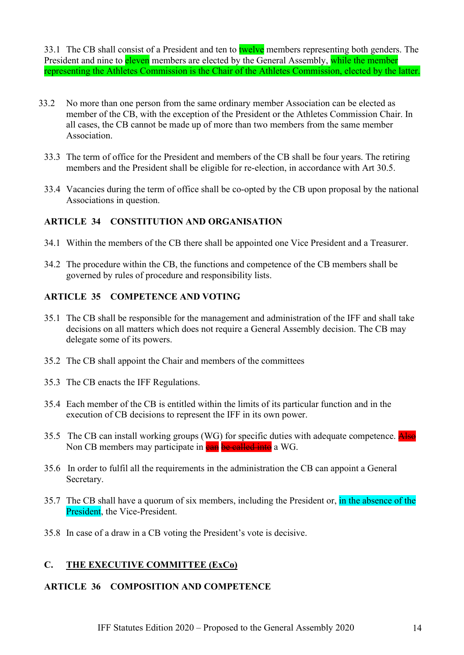33.1 The CB shall consist of a President and ten to twelve members representing both genders. The President and nine to **eleven** members are elected by the General Assembly, while the member representing the Athletes Commission is the Chair of the Athletes Commission, elected by the latter.

- 33.2 No more than one person from the same ordinary member Association can be elected as member of the CB, with the exception of the President or the Athletes Commission Chair. In all cases, the CB cannot be made up of more than two members from the same member Association.
	- 33.3 The term of office for the President and members of the CB shall be four years. The retiring members and the President shall be eligible for re-election, in accordance with Art 30.5.
	- 33.4 Vacancies during the term of office shall be co-opted by the CB upon proposal by the national Associations in question.

#### ARTICLE 34 CONSTITUTION AND ORGANISATION

- 34.1 Within the members of the CB there shall be appointed one Vice President and a Treasurer.
- 34.2 The procedure within the CB, the functions and competence of the CB members shall be governed by rules of procedure and responsibility lists.

#### ARTICLE 35 COMPETENCE AND VOTING

- 35.1 The CB shall be responsible for the management and administration of the IFF and shall take decisions on all matters which does not require a General Assembly decision. The CB may delegate some of its powers.
- 35.2 The CB shall appoint the Chair and members of the committees
- 35.3 The CB enacts the IFF Regulations.
- 35.4 Each member of the CB is entitled within the limits of its particular function and in the execution of CB decisions to represent the IFF in its own power.
- 35.5 The CB can install working groups (WG) for specific duties with adequate competence. Also Non CB members may participate in can be called into a WG.
- 35.6 In order to fulfil all the requirements in the administration the CB can appoint a General Secretary.
- 35.7 The CB shall have a quorum of six members, including the President or, in the absence of the President, the Vice-President.
- 35.8 In case of a draw in a CB voting the President's vote is decisive.

#### C. THE EXECUTIVE COMMITTEE (ExCo)

#### ARTICLE 36 COMPOSITION AND COMPETENCE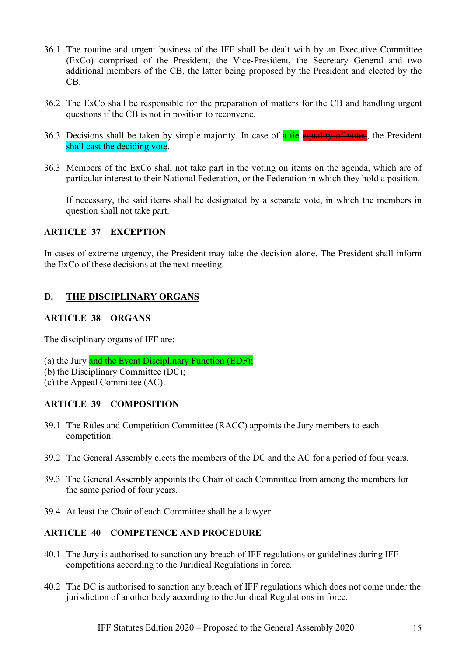- 36.1 The routine and urgent business of the IFF shall be dealt with by an Executive Committee (ExCo) comprised of the President, the Vice-President, the Secretary General and two additional members of the CB, the latter being proposed by the President and elected by the CB.
- 36.2 The ExCo shall be responsible for the preparation of matters for the CB and handling urgent questions if the CB is not in position to reconvene.
- 36.3 Decisions shall be taken by simple majority. In case of a tie equality of votes, the President shall cast the deciding vote.
- 36.3 Members of the ExCo shall not take part in the voting on items on the agenda, which are of particular interest to their National Federation, or the Federation in which they hold a position.

If necessary, the said items shall be designated by a separate vote, in which the members in question shall not take part.

#### ARTICLE 37 EXCEPTION

In cases of extreme urgency, the President may take the decision alone. The President shall inform the ExCo of these decisions at the next meeting.

#### D. THE DISCIPLINARY ORGANS

#### ARTICLE 38 ORGANS

The disciplinary organs of IFF are:

- (a) the Jury and the Event Disciplinary Function (EDF);
- (b) the Disciplinary Committee (DC);
- (c) the Appeal Committee (AC).

#### ARTICLE 39 COMPOSITION

- 39.1 The Rules and Competition Committee (RACC) appoints the Jury members to each competition.
- 39.2 The General Assembly elects the members of the DC and the AC for a period of four years.
- 39.3 The General Assembly appoints the Chair of each Committee from among the members for the same period of four years.
- 39.4 At least the Chair of each Committee shall be a lawyer.

#### ARTICLE 40 COMPETENCE AND PROCEDURE

- 40.1 The Jury is authorised to sanction any breach of IFF regulations or guidelines during IFF competitions according to the Juridical Regulations in force.
- 40.2 The DC is authorised to sanction any breach of IFF regulations which does not come under the jurisdiction of another body according to the Juridical Regulations in force.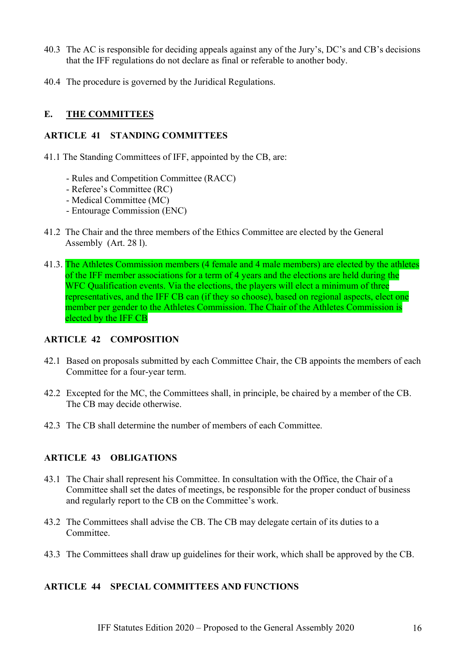- 40.3 The AC is responsible for deciding appeals against any of the Jury's, DC's and CB's decisions that the IFF regulations do not declare as final or referable to another body.
- 40.4 The procedure is governed by the Juridical Regulations.

#### E. THE COMMITTEES

#### ARTICLE 41 STANDING COMMITTEES

- 41.1 The Standing Committees of IFF, appointed by the CB, are:
	- Rules and Competition Committee (RACC)
	- Referee's Committee (RC)
	- Medical Committee (MC)
	- Entourage Commission (ENC)
- 41.2 The Chair and the three members of the Ethics Committee are elected by the General Assembly (Art. 28 l).
- 41.3. The Athletes Commission members (4 female and 4 male members) are elected by the athletes of the IFF member associations for a term of 4 years and the elections are held during the WFC Qualification events. Via the elections, the players will elect a minimum of three representatives, and the IFF CB can (if they so choose), based on regional aspects, elect one member per gender to the Athletes Commission. The Chair of the Athletes Commission is elected by the IFF CB

#### ARTICLE 42 COMPOSITION

- 42.1 Based on proposals submitted by each Committee Chair, the CB appoints the members of each Committee for a four-year term.
- 42.2 Excepted for the MC, the Committees shall, in principle, be chaired by a member of the CB. The CB may decide otherwise.
- 42.3 The CB shall determine the number of members of each Committee.

#### ARTICLE 43 OBLIGATIONS

- 43.1 The Chair shall represent his Committee. In consultation with the Office, the Chair of a Committee shall set the dates of meetings, be responsible for the proper conduct of business and regularly report to the CB on the Committee's work.
- 43.2 The Committees shall advise the CB. The CB may delegate certain of its duties to a Committee.
- 43.3 The Committees shall draw up guidelines for their work, which shall be approved by the CB.

#### ARTICLE 44 SPECIAL COMMITTEES AND FUNCTIONS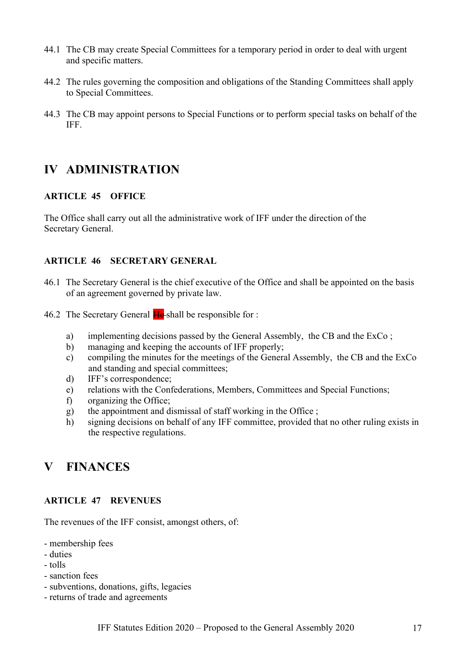- 44.1 The CB may create Special Committees for a temporary period in order to deal with urgent and specific matters.
- 44.2 The rules governing the composition and obligations of the Standing Committees shall apply to Special Committees.
- 44.3 The CB may appoint persons to Special Functions or to perform special tasks on behalf of the IFF.

### IV ADMINISTRATION

#### ARTICLE 45 OFFICE

The Office shall carry out all the administrative work of IFF under the direction of the Secretary General.

#### ARTICLE 46 SECRETARY GENERAL

- 46.1 The Secretary General is the chief executive of the Office and shall be appointed on the basis of an agreement governed by private law.
- 46.2 The Secretary General  $H_{\text{e}}$ -shall be responsible for :
	- a) implementing decisions passed by the General Assembly, the CB and the ExCo ;
	- b) managing and keeping the accounts of IFF properly;
	- c) compiling the minutes for the meetings of the General Assembly, the CB and the ExCo and standing and special committees;
	- d) IFF's correspondence;
	- e) relations with the Confederations, Members, Committees and Special Functions;
	- f) organizing the Office;
	- g) the appointment and dismissal of staff working in the Office ;
	- h) signing decisions on behalf of any IFF committee, provided that no other ruling exists in the respective regulations.

### V FINANCES

#### ARTICLE 47 REVENUES

The revenues of the IFF consist, amongst others, of:

- membership fees
- duties
- tolls
- sanction fees
- subventions, donations, gifts, legacies
- returns of trade and agreements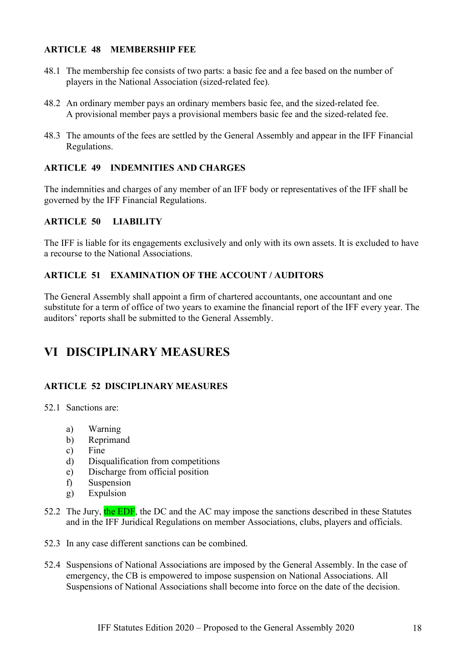#### ARTICLE 48 MEMBERSHIP FEE

- 48.1 The membership fee consists of two parts: a basic fee and a fee based on the number of players in the National Association (sized-related fee).
- 48.2 An ordinary member pays an ordinary members basic fee, and the sized-related fee. A provisional member pays a provisional members basic fee and the sized-related fee.
- 48.3 The amounts of the fees are settled by the General Assembly and appear in the IFF Financial Regulations.

#### ARTICLE 49 INDEMNITIES AND CHARGES

The indemnities and charges of any member of an IFF body or representatives of the IFF shall be governed by the IFF Financial Regulations.

#### ARTICLE 50 LIABILITY

The IFF is liable for its engagements exclusively and only with its own assets. It is excluded to have a recourse to the National Associations.

#### ARTICLE 51 EXAMINATION OF THE ACCOUNT / AUDITORS

The General Assembly shall appoint a firm of chartered accountants, one accountant and one substitute for a term of office of two years to examine the financial report of the IFF every year. The auditors' reports shall be submitted to the General Assembly.

# VI DISCIPLINARY MEASURES

#### ARTICLE 52 DISCIPLINARY MEASURES

52.1 Sanctions are:

- a) Warning
- b) Reprimand
- c) Fine
- d) Disqualification from competitions
- e) Discharge from official position
- f) Suspension
- g) Expulsion
- 52.2 The Jury, the EDF, the DC and the AC may impose the sanctions described in these Statutes and in the IFF Juridical Regulations on member Associations, clubs, players and officials.
- 52.3 In any case different sanctions can be combined.
- 52.4 Suspensions of National Associations are imposed by the General Assembly. In the case of emergency, the CB is empowered to impose suspension on National Associations. All Suspensions of National Associations shall become into force on the date of the decision.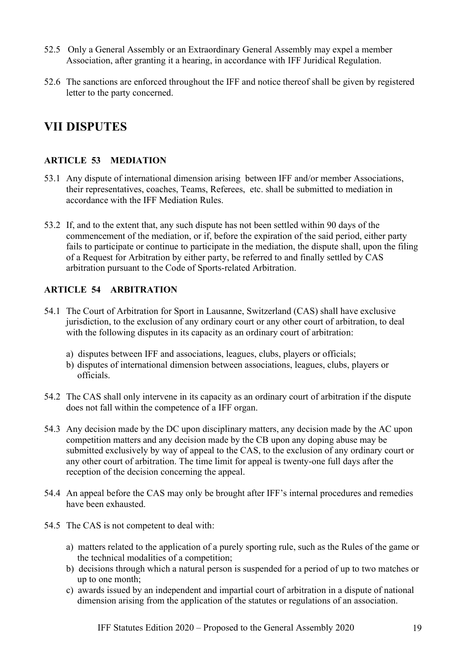- 52.5 Only a General Assembly or an Extraordinary General Assembly may expel a member Association, after granting it a hearing, in accordance with IFF Juridical Regulation.
- 52.6 The sanctions are enforced throughout the IFF and notice thereof shall be given by registered letter to the party concerned.

# VII DISPUTES

#### ARTICLE 53 MEDIATION

- 53.1 Any dispute of international dimension arising between IFF and/or member Associations, their representatives, coaches, Teams, Referees, etc. shall be submitted to mediation in accordance with the IFF Mediation Rules.
- 53.2 If, and to the extent that, any such dispute has not been settled within 90 days of the commencement of the mediation, or if, before the expiration of the said period, either party fails to participate or continue to participate in the mediation, the dispute shall, upon the filing of a Request for Arbitration by either party, be referred to and finally settled by CAS arbitration pursuant to the Code of Sports-related Arbitration.

#### ARTICLE 54 ARBITRATION

- 54.1 The Court of Arbitration for Sport in Lausanne, Switzerland (CAS) shall have exclusive jurisdiction, to the exclusion of any ordinary court or any other court of arbitration, to deal with the following disputes in its capacity as an ordinary court of arbitration:
	- a) disputes between IFF and associations, leagues, clubs, players or officials;
	- b) disputes of international dimension between associations, leagues, clubs, players or officials.
- 54.2 The CAS shall only intervene in its capacity as an ordinary court of arbitration if the dispute does not fall within the competence of a IFF organ.
- 54.3 Any decision made by the DC upon disciplinary matters, any decision made by the AC upon competition matters and any decision made by the CB upon any doping abuse may be submitted exclusively by way of appeal to the CAS, to the exclusion of any ordinary court or any other court of arbitration. The time limit for appeal is twenty-one full days after the reception of the decision concerning the appeal.
- 54.4 An appeal before the CAS may only be brought after IFF's internal procedures and remedies have been exhausted.
- 54.5 The CAS is not competent to deal with:
	- a) matters related to the application of a purely sporting rule, such as the Rules of the game or the technical modalities of a competition;
	- b) decisions through which a natural person is suspended for a period of up to two matches or up to one month;
	- c) awards issued by an independent and impartial court of arbitration in a dispute of national dimension arising from the application of the statutes or regulations of an association.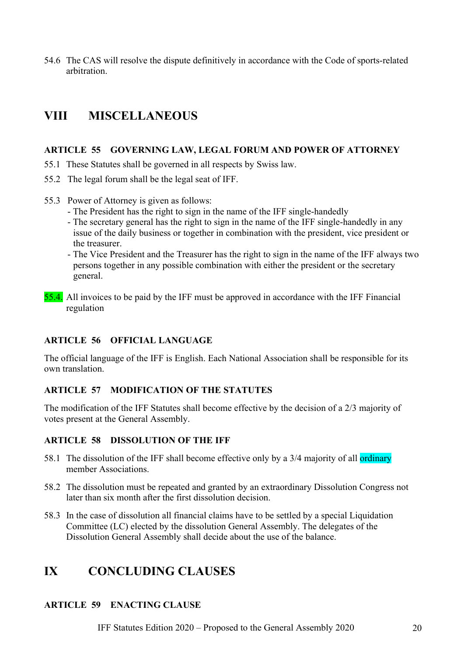54.6 The CAS will resolve the dispute definitively in accordance with the Code of sports-related arbitration.

# VIII MISCELLANEOUS

#### ARTICLE 55 GOVERNING LAW, LEGAL FORUM AND POWER OF ATTORNEY

- 55.1 These Statutes shall be governed in all respects by Swiss law.
- 55.2 The legal forum shall be the legal seat of IFF.
- 55.3 Power of Attorney is given as follows:
	- The President has the right to sign in the name of the IFF single-handedly
	- The secretary general has the right to sign in the name of the IFF single-handedly in any issue of the daily business or together in combination with the president, vice president or the treasurer.
	- The Vice President and the Treasurer has the right to sign in the name of the IFF always two persons together in any possible combination with either the president or the secretary general.
- 55.4. All invoices to be paid by the IFF must be approved in accordance with the IFF Financial regulation

#### ARTICLE 56 OFFICIAL LANGUAGE

The official language of the IFF is English. Each National Association shall be responsible for its own translation.

#### ARTICLE 57 MODIFICATION OF THE STATUTES

The modification of the IFF Statutes shall become effective by the decision of a 2/3 majority of votes present at the General Assembly.

#### ARTICLE 58 DISSOLUTION OF THE IFF

- 58.1 The dissolution of the IFF shall become effective only by a 3/4 majority of all ordinary member Associations.
- 58.2 The dissolution must be repeated and granted by an extraordinary Dissolution Congress not later than six month after the first dissolution decision.
- 58.3 In the case of dissolution all financial claims have to be settled by a special Liquidation Committee (LC) elected by the dissolution General Assembly. The delegates of the Dissolution General Assembly shall decide about the use of the balance.

### IX CONCLUDING CLAUSES

#### ARTICLE 59 ENACTING CLAUSE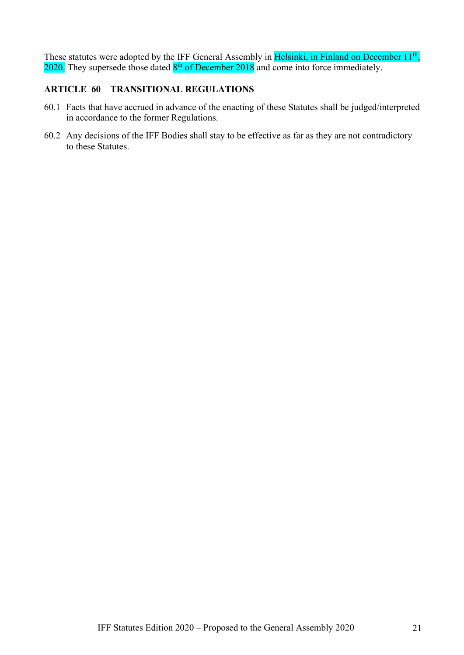These statutes were adopted by the IFF General Assembly in Helsinki, in Finland on December 11<sup>th</sup>,  $2020$ . They supersede those dated  $8<sup>th</sup>$  of December 2018 and come into force immediately.

#### ARTICLE 60 TRANSITIONAL REGULATIONS

- 60.1 Facts that have accrued in advance of the enacting of these Statutes shall be judged/interpreted in accordance to the former Regulations.
- 60.2 Any decisions of the IFF Bodies shall stay to be effective as far as they are not contradictory to these Statutes.